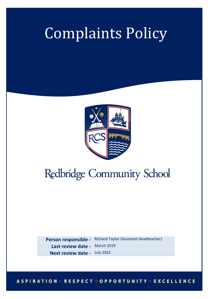# Complaints Policy



## Redbridge Community School

**Person responsible -** Richard Taylor (Assistant Headteacher) **Last review date -** March 2019 **Next review date -** July 2022

#### **ASPIRATION ORESPECT OOPPORTUNITY OEXCELLENCE**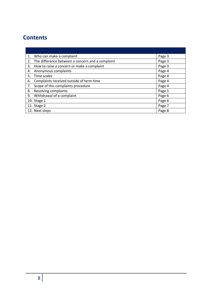### **Contents**

|    | 1. Who can make a complaint                         | Page 3 |
|----|-----------------------------------------------------|--------|
|    | 2. The difference between a concern and a complaint | Page 3 |
|    | 3. How to raise a concern or make a complaint       | Page 3 |
| 4. | Anonymous complaints                                | Page 4 |
| 5. | Time scales                                         | Page 4 |
| 6. | Complaints received outside of term time            | Page 4 |
| 7. | Scope of this complaints procedure                  | Page 4 |
| 8. | Resolving complaints                                | Page 5 |
|    | 9. Withdrawal of a complaint                        | Page 6 |
|    | 10. Stage 1                                         | Page 6 |
|    | 11. Stage 2                                         | Page 7 |
|    | 12. Next steps                                      | Page 8 |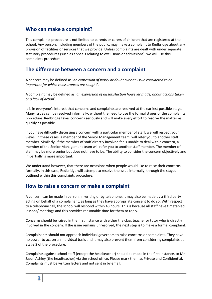#### **Who can make a complaint?**

This complaints procedure is not limited to parents or carers of children that are registered at the school. Any person, including members of the public, may make a complaint to Redbridge about any provision of facilities or services that we provide. Unless complaints are dealt with under separate statutory procedures (such as appeals relating to exclusions or admissions), we will use this complaints procedure.

#### **The difference between a concern and a complaint**

A concern may be defined as '*an expression of worry or doubt over an issue considered to be important for which reassurances are sought'*.

A complaint may be defined as '*an expression of dissatisfaction however made, about actions taken or a lack of action*'.

It is in everyone's interest that concerns and complaints are resolved at the earliest possible stage. Many issues can be resolved informally, without the need to use the formal stages of the complaints procedure. Redbridge takes concerns seriously and will make every effort to resolve the matter as quickly as possible.

If you have difficulty discussing a concern with a particular member of staff, we will respect your views. In these cases, a member of the Senior Management team, will refer you to another staff member. Similarly, if the member of staff directly involved feels unable to deal with a concern, a member of the Senior Management team will refer you to another staff member. The member of staff may be more senior but does not have to be. The ability to consider the concern objectively and impartially is more important.

We understand however, that there are occasions when people would like to raise their concerns formally. In this case, Redbridge will attempt to resolve the issue internally, through the stages outlined within this complaints procedure.

#### **How to raise a concern or make a complaint**

A concern can be made in person, in writing or by telephone. It may also be made by a third party acting on behalf of a complainant, as long as they have appropriate consent to do so. With respect to a telephone call, the school will respond within 48 hours. This is because all staff have timetabled lessons/ meetings and this provides reasonable time for them to reply.

Concerns should be raised in the first instance with either the class teacher or tutor who is directly involved in the concern. If the issue remains unresolved, the next step is to make a formal complaint.

Complainants should not approach individual governors to raise concerns or complaints. They have no power to act on an individual basis and it may also prevent them from considering complaints at Stage 2 of the procedure.

Complaints against school staff (except the headteacher) should be made in the first instance, to Mr Jason Ashley (the headteacher) via the school office*.* Please mark them as Private and Confidential. Complaints must be written letters and not sent in by email.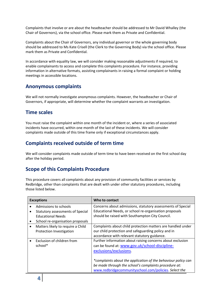Complaints that involve or are about the headteacher should be addressed to Mr David Whalley (the Chair of Governors), via the school office. Please mark them as Private and Confidential.

Complaints about the Chair of Governors, any individual governor or the whole governing body should be addressed to Ms Kate Crisell (the Clerk to the Governing Body) via the school office. Please mark them as Private and Confidential.

In accordance with equality law, we will consider making reasonable adjustments if required, to enable complainants to access and complete this complaints procedure. For instance, providing information in alternative formats, assisting complainants in raising a formal complaint or holding meetings in accessible locations.

#### **Anonymous complaints**

We will not normally investigate anonymous complaints. However, the headteacher or Chair of Governors, if appropriate, will determine whether the complaint warrants an investigation.

#### **Time scales**

You must raise the complaint within one month of the incident or, where a series of associated incidents have occurred, within one month of the last of these incidents. We will consider complaints made outside of this time frame only if exceptional circumstances apply.

#### **Complaints received outside of term time**

We will consider complaints made outside of term time to have been received on the first school day after the holiday period.

#### **Scope of this Complaints Procedure**

This procedure covers all complaints about any provision of community facilities or services by Redbridge, other than complaints that are dealt with under other statutory procedures, including those listed below.

| <b>Exceptions</b> |                                                                     | Who to contact                                                                                            |
|-------------------|---------------------------------------------------------------------|-----------------------------------------------------------------------------------------------------------|
|                   | Admissions to schools                                               | Concerns about admissions, statutory assessments of Special                                               |
|                   | <b>Statutory assessments of Special</b><br><b>Educational Needs</b> | Educational Needs, or school re-organisation proposals<br>should be raised with Southampton City Council. |
| $\bullet$         | School re-organisation proposals                                    |                                                                                                           |
| $\bullet$         | Matters likely to require a Child                                   | Complaints about child protection matters are handled under                                               |
|                   | Protection Investigation                                            | our child protection and safeguarding policy and in                                                       |
|                   |                                                                     | accordance with relevant statutory guidance.                                                              |
|                   | Exclusion of children from                                          | Further information about raising concerns about exclusion                                                |
|                   | school*                                                             | can be found at: www.gov.uk/school-discipline-                                                            |
|                   |                                                                     | exclusions/exclusions.                                                                                    |
|                   |                                                                     |                                                                                                           |
|                   |                                                                     | *complaints about the application of the behaviour policy can                                             |
|                   |                                                                     | be made through the school's complaints procedure at:                                                     |
|                   |                                                                     | www.redbridgecommunityschool.com/policies. Select the                                                     |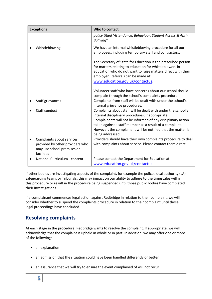| <b>Exceptions</b> |                                                                                                          | Who to contact                                                                                                                                                                                                                                                                                                                    |
|-------------------|----------------------------------------------------------------------------------------------------------|-----------------------------------------------------------------------------------------------------------------------------------------------------------------------------------------------------------------------------------------------------------------------------------------------------------------------------------|
|                   |                                                                                                          | policy titled 'Attendance, Behaviour, Student Access & Anti-<br>Bullying".                                                                                                                                                                                                                                                        |
|                   | Whistleblowing                                                                                           | We have an internal whistleblowing procedure for all our<br>employees, including temporary staff and contractors.                                                                                                                                                                                                                 |
|                   |                                                                                                          | The Secretary of State for Education is the prescribed person<br>for matters relating to education for whistleblowers in<br>education who do not want to raise matters direct with their<br>employer. Referrals can be made at:<br>www.education.gov.uk/contactus.                                                                |
|                   |                                                                                                          |                                                                                                                                                                                                                                                                                                                                   |
|                   |                                                                                                          | Volunteer staff who have concerns about our school should<br>complain through the school's complaints procedure.                                                                                                                                                                                                                  |
| $\bullet$         | Staff grievances                                                                                         | Complaints from staff will be dealt with under the school's<br>internal grievance procedures.                                                                                                                                                                                                                                     |
|                   | Staff conduct                                                                                            | Complaints about staff will be dealt with under the school's<br>internal disciplinary procedures, if appropriate.<br>Complainants will not be informed of any disciplinary action<br>taken against a staff member as a result of a complaint.<br>However, the complainant will be notified that the matter is<br>being addressed. |
|                   | Complaints about services<br>provided by other providers who<br>may use school premises or<br>facilities | Providers should have their own complaints procedure to deal<br>with complaints about service. Please contact them direct.                                                                                                                                                                                                        |
|                   | National Curriculum - content                                                                            | Please contact the Department for Education at:<br>www.education.gov.uk/contactus                                                                                                                                                                                                                                                 |

If other bodies are investigating aspects of the complaint, for example the police, local authority (LA) safeguarding teams or Tribunals, this may impact on our ability to adhere to the timescales within this procedure or result in the procedure being suspended until those public bodies have completed their investigations.

If a complainant commences legal action against Redbridge in relation to their complaint, we will consider whether to suspend the complaints procedure in relation to their complaint until those legal proceedings have concluded.

#### **Resolving complaints**

At each stage in the procedure, Redbridge wants to resolve the complaint. If appropriate, we will acknowledge that the complaint is upheld in whole or in part. In addition, we may offer one or more of the following:

- an explanation
- an admission that the situation could have been handled differently or better
- an assurance that we will try to ensure the event complained of will not recur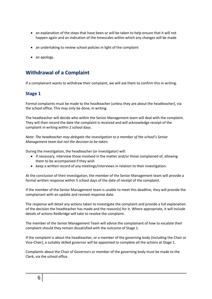- an explanation of the steps that have been or will be taken to help ensure that it will not happen again and an indication of the timescales within which any changes will be made
- an undertaking to review school policies in light of the complaint
- an apology.

#### **Withdrawal of a Complaint**

If a complainant wants to withdraw their complaint, we will ask them to confirm this in writing.

#### **Stage 1**

Formal complaints must be made to the headteacher (unless they are about the headteacher), via the school office. This may only be done, in writing.

The headteacher will decide who within the Senior Management team will deal with the complaint. They will then record the date the complaint is received and will acknowledge receipt of the complaint in writing within 2 school days.

*Note: The headteacher may delegate the investigation to a member of the school's Senior Management team but not the decision to be taken.*

During the investigation, the headteacher (or investigator) will:

- if necessary, interview those involved in the matter and/or those complained of, allowing them to be accompanied if they wish
- keep a written record of any meetings/interviews in relation to their investigation.

At the conclusion of their investigation, the member of the Senior Management team will provide a formal written response within 5 school days of the date of receipt of the complaint.

If the member of the Senior Management team is unable to meet this deadline, they will provide the complainant with an update and revised response date.

The response will detail any actions taken to investigate the complaint and provide a full explanation of the decision the headteacher has made and the reason(s) for it. Where appropriate, it will include details of actions Redbridge will take to resolve the complaint.

The member of the Senior Management Team will advise the complainant of how to escalate their complaint should they remain dissatisfied with the outcome of Stage 1.

If the complaint is about the headteacher, or a member of the governing body (including the Chair or Vice-Chair), a suitably skilled governor will be appointed to complete all the actions at Stage 1.

Complaints about the Chair of Governors or member of the governing body must be made to the Clerk, via the school office.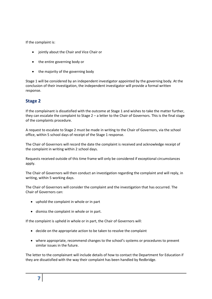If the complaint is:

- jointly about the Chair and Vice Chair or
- the entire governing body or
- the majority of the governing body

Stage 1 will be considered by an independent investigator appointed by the governing body. At the conclusion of their investigation, the independent investigator will provide a formal written response.

#### **Stage 2**

If the complainant is dissatisfied with the outcome at Stage 1 and wishes to take the matter further, they can escalate the complaint to Stage 2 – a letter to the Chair of Governors. This is the final stage of the complaints procedure.

A request to escalate to Stage 2 must be made in writing to the Chair of Governors, via the school office, within 5 school days of receipt of the Stage 1 response.

The Chair of Governors will record the date the complaint is received and acknowledge receipt of the complaint in writing within 2 school days.

Requests received outside of this time frame will only be considered if exceptional circumstances apply.

The Chair of Governors will then conduct an investigation regarding the complaint and will reply, in writing, within 5 working days.

The Chair of Governors will consider the complaint and the investigation that has occurred. The Chair of Governors can:

- uphold the complaint in whole or in part
- dismiss the complaint in whole or in part.

If the complaint is upheld in whole or in part, the Chair of Governors will:

- decide on the appropriate action to be taken to resolve the complaint
- where appropriate, recommend changes to the school's systems or procedures to prevent similar issues in the future.

The letter to the complainant will include details of how to contact the Department for Education if they are dissatisfied with the way their complaint has been handled by Redbridge.